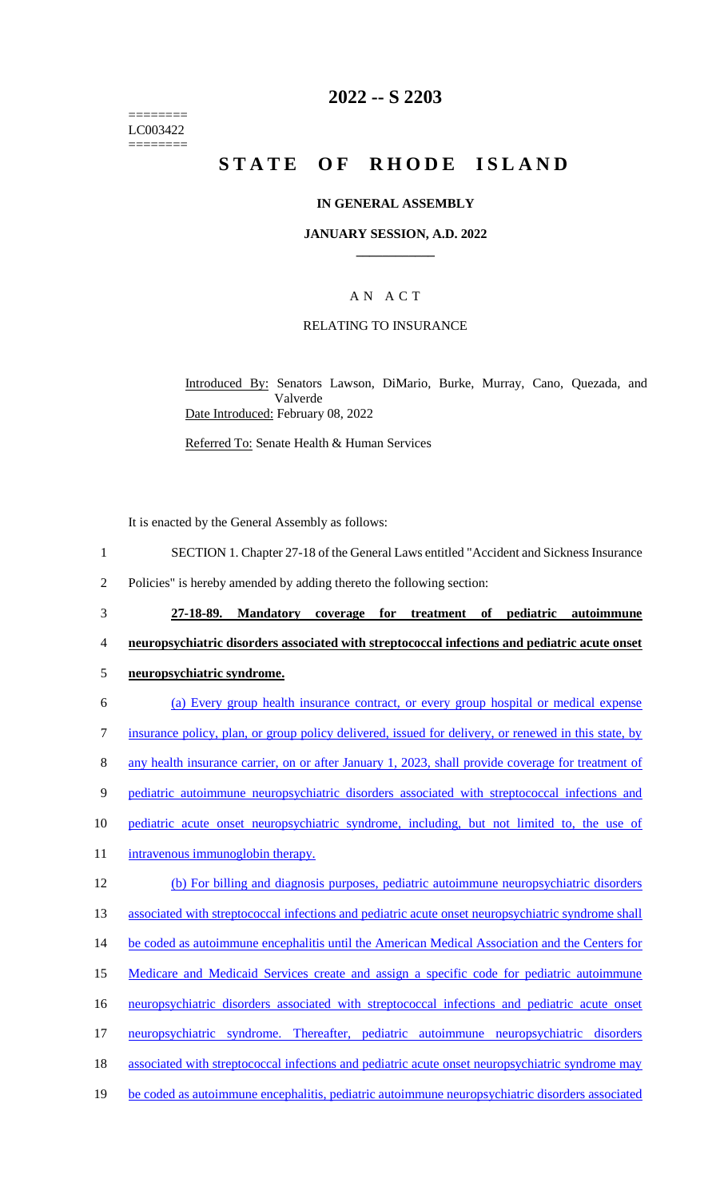======== LC003422 ========

## **2022 -- S 2203**

# **STATE OF RHODE ISLAND**

#### **IN GENERAL ASSEMBLY**

#### **JANUARY SESSION, A.D. 2022 \_\_\_\_\_\_\_\_\_\_\_\_**

## A N A C T

#### RELATING TO INSURANCE

Introduced By: Senators Lawson, DiMario, Burke, Murray, Cano, Quezada, and Valverde Date Introduced: February 08, 2022

Referred To: Senate Health & Human Services

It is enacted by the General Assembly as follows:

- 1 SECTION 1. Chapter 27-18 of the General Laws entitled "Accident and Sickness Insurance
- 2 Policies" is hereby amended by adding thereto the following section:
- 3 **27-18-89. Mandatory coverage for treatment of pediatric autoimmune**  4 **neuropsychiatric disorders associated with streptococcal infections and pediatric acute onset**
- 5 **neuropsychiatric syndrome.**
- 6 (a) Every group health insurance contract, or every group hospital or medical expense 7 insurance policy, plan, or group policy delivered, issued for delivery, or renewed in this state, by 8 any health insurance carrier, on or after January 1, 2023, shall provide coverage for treatment of 9 pediatric autoimmune neuropsychiatric disorders associated with streptococcal infections and 10 pediatric acute onset neuropsychiatric syndrome, including, but not limited to, the use of 11 intravenous immunoglobin therapy. 12 (b) For billing and diagnosis purposes, pediatric autoimmune neuropsychiatric disorders 13 associated with streptococcal infections and pediatric acute onset neuropsychiatric syndrome shall 14 be coded as autoimmune encephalitis until the American Medical Association and the Centers for 15 Medicare and Medicaid Services create and assign a specific code for pediatric autoimmune 16 neuropsychiatric disorders associated with streptococcal infections and pediatric acute onset 17 neuropsychiatric syndrome. Thereafter, pediatric autoimmune neuropsychiatric disorders 18 associated with streptococcal infections and pediatric acute onset neuropsychiatric syndrome may
- 19 be coded as autoimmune encephalitis, pediatric autoimmune neuropsychiatric disorders associated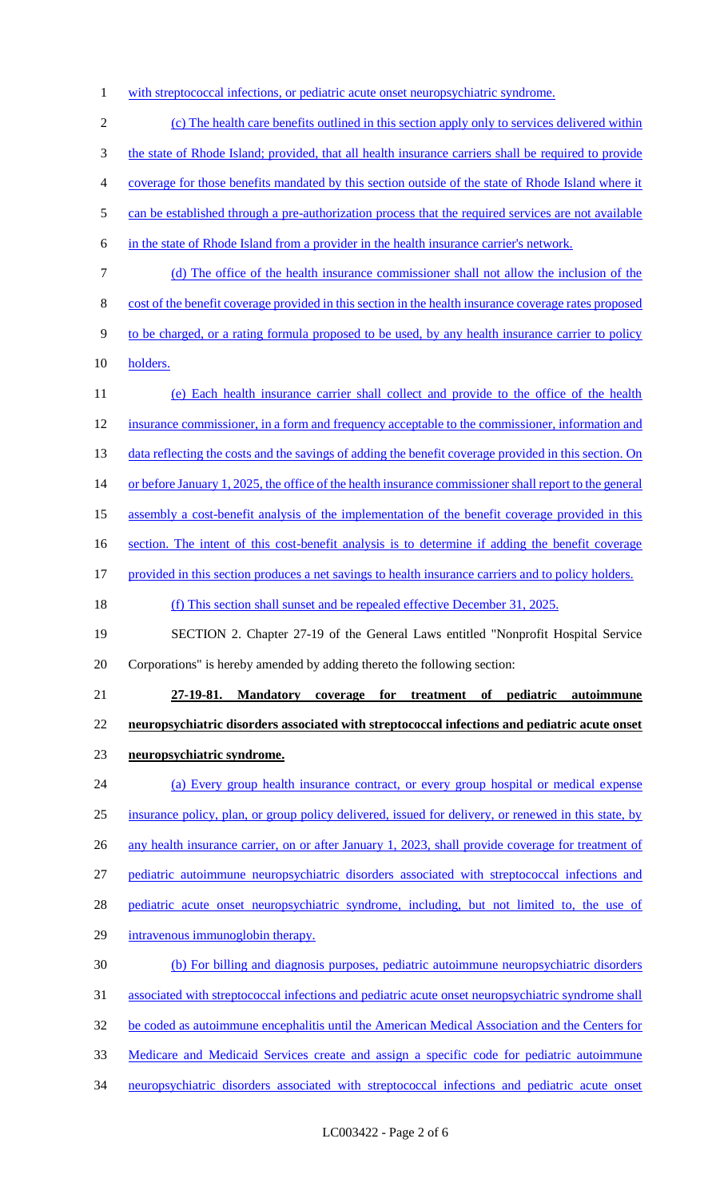1 with streptococcal infections, or pediatric acute onset neuropsychiatric syndrome.

 (c) The health care benefits outlined in this section apply only to services delivered within the state of Rhode Island; provided, that all health insurance carriers shall be required to provide coverage for those benefits mandated by this section outside of the state of Rhode Island where it 5 can be established through a pre-authorization process that the required services are not available in the state of Rhode Island from a provider in the health insurance carrier's network. (d) The office of the health insurance commissioner shall not allow the inclusion of the cost of the benefit coverage provided in this section in the health insurance coverage rates proposed 9 to be charged, or a rating formula proposed to be used, by any health insurance carrier to policy holders. (e) Each health insurance carrier shall collect and provide to the office of the health insurance commissioner, in a form and frequency acceptable to the commissioner, information and 13 data reflecting the costs and the savings of adding the benefit coverage provided in this section. On 14 or before January 1, 2025, the office of the health insurance commissioner shall report to the general assembly a cost-benefit analysis of the implementation of the benefit coverage provided in this 16 section. The intent of this cost-benefit analysis is to determine if adding the benefit coverage provided in this section produces a net savings to health insurance carriers and to policy holders. (f) This section shall sunset and be repealed effective December 31, 2025. SECTION 2. Chapter 27-19 of the General Laws entitled "Nonprofit Hospital Service Corporations" is hereby amended by adding thereto the following section: **27-19-81. Mandatory coverage for treatment of pediatric autoimmune neuropsychiatric disorders associated with streptococcal infections and pediatric acute onset neuropsychiatric syndrome.**  (a) Every group health insurance contract, or every group hospital or medical expense insurance policy, plan, or group policy delivered, issued for delivery, or renewed in this state, by 26 any health insurance carrier, on or after January 1, 2023, shall provide coverage for treatment of pediatric autoimmune neuropsychiatric disorders associated with streptococcal infections and 28 pediatric acute onset neuropsychiatric syndrome, including, but not limited to, the use of

intravenous immunoglobin therapy.

 (b) For billing and diagnosis purposes, pediatric autoimmune neuropsychiatric disorders associated with streptococcal infections and pediatric acute onset neuropsychiatric syndrome shall be coded as autoimmune encephalitis until the American Medical Association and the Centers for Medicare and Medicaid Services create and assign a specific code for pediatric autoimmune neuropsychiatric disorders associated with streptococcal infections and pediatric acute onset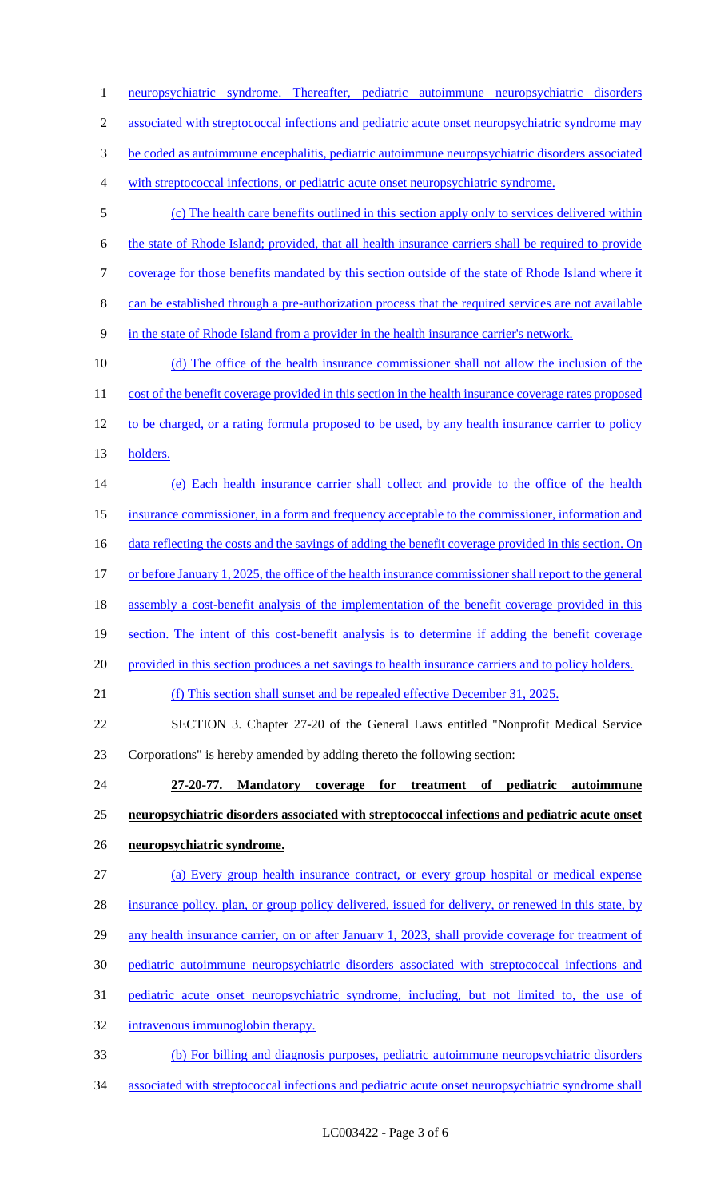neuropsychiatric syndrome. Thereafter, pediatric autoimmune neuropsychiatric disorders 2 associated with streptococcal infections and pediatric acute onset neuropsychiatric syndrome may be coded as autoimmune encephalitis, pediatric autoimmune neuropsychiatric disorders associated with streptococcal infections, or pediatric acute onset neuropsychiatric syndrome. (c) The health care benefits outlined in this section apply only to services delivered within the state of Rhode Island; provided, that all health insurance carriers shall be required to provide coverage for those benefits mandated by this section outside of the state of Rhode Island where it can be established through a pre-authorization process that the required services are not available in the state of Rhode Island from a provider in the health insurance carrier's network. (d) The office of the health insurance commissioner shall not allow the inclusion of the 11 cost of the benefit coverage provided in this section in the health insurance coverage rates proposed 12 to be charged, or a rating formula proposed to be used, by any health insurance carrier to policy holders. (e) Each health insurance carrier shall collect and provide to the office of the health insurance commissioner, in a form and frequency acceptable to the commissioner, information and 16 data reflecting the costs and the savings of adding the benefit coverage provided in this section. On 17 or before January 1, 2025, the office of the health insurance commissioner shall report to the general 18 assembly a cost-benefit analysis of the implementation of the benefit coverage provided in this 19 section. The intent of this cost-benefit analysis is to determine if adding the benefit coverage 20 provided in this section produces a net savings to health insurance carriers and to policy holders. (f) This section shall sunset and be repealed effective December 31, 2025. SECTION 3. Chapter 27-20 of the General Laws entitled "Nonprofit Medical Service Corporations" is hereby amended by adding thereto the following section: **27-20-77. Mandatory coverage for treatment of pediatric autoimmune neuropsychiatric disorders associated with streptococcal infections and pediatric acute onset neuropsychiatric syndrome.**  (a) Every group health insurance contract, or every group hospital or medical expense insurance policy, plan, or group policy delivered, issued for delivery, or renewed in this state, by 29 any health insurance carrier, on or after January 1, 2023, shall provide coverage for treatment of pediatric autoimmune neuropsychiatric disorders associated with streptococcal infections and pediatric acute onset neuropsychiatric syndrome, including, but not limited to, the use of intravenous immunoglobin therapy. (b) For billing and diagnosis purposes, pediatric autoimmune neuropsychiatric disorders

associated with streptococcal infections and pediatric acute onset neuropsychiatric syndrome shall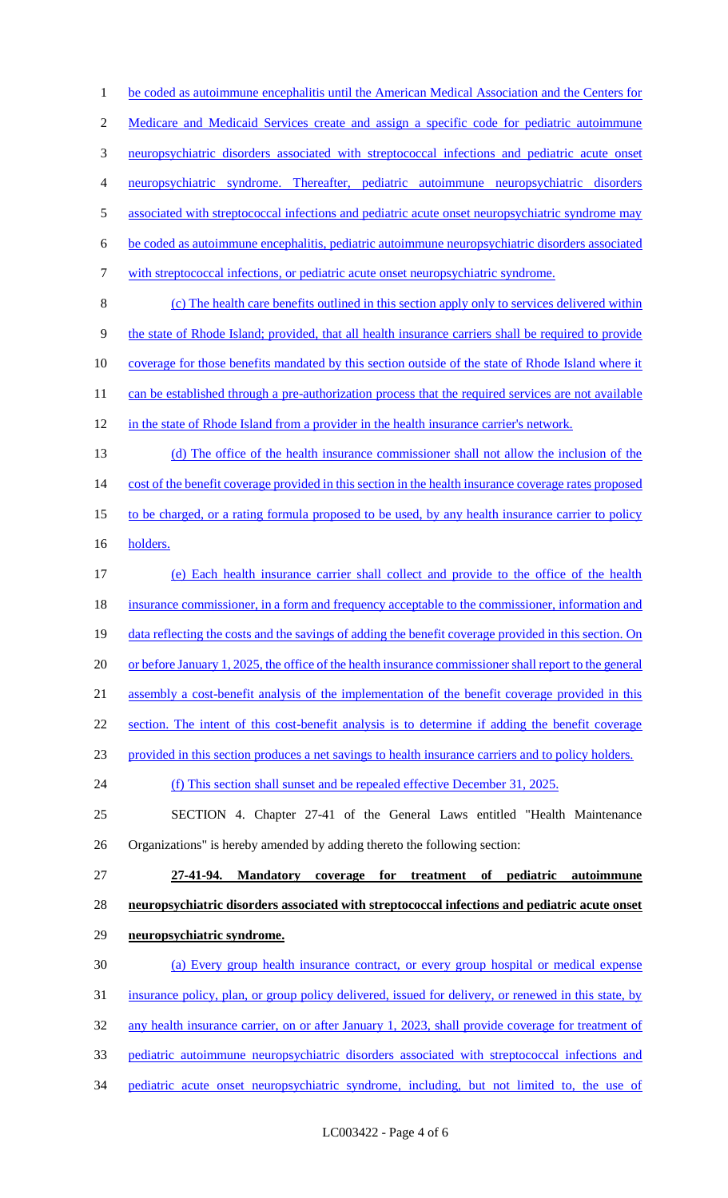1 be coded as autoimmune encephalitis until the American Medical Association and the Centers for Medicare and Medicaid Services create and assign a specific code for pediatric autoimmune neuropsychiatric disorders associated with streptococcal infections and pediatric acute onset neuropsychiatric syndrome. Thereafter, pediatric autoimmune neuropsychiatric disorders 5 associated with streptococcal infections and pediatric acute onset neuropsychiatric syndrome may be coded as autoimmune encephalitis, pediatric autoimmune neuropsychiatric disorders associated with streptococcal infections, or pediatric acute onset neuropsychiatric syndrome. (c) The health care benefits outlined in this section apply only to services delivered within the state of Rhode Island; provided, that all health insurance carriers shall be required to provide coverage for those benefits mandated by this section outside of the state of Rhode Island where it 11 can be established through a pre-authorization process that the required services are not available in the state of Rhode Island from a provider in the health insurance carrier's network. (d) The office of the health insurance commissioner shall not allow the inclusion of the 14 cost of the benefit coverage provided in this section in the health insurance coverage rates proposed 15 to be charged, or a rating formula proposed to be used, by any health insurance carrier to policy holders. (e) Each health insurance carrier shall collect and provide to the office of the health 18 insurance commissioner, in a form and frequency acceptable to the commissioner, information and 19 data reflecting the costs and the savings of adding the benefit coverage provided in this section. On 20 or before January 1, 2025, the office of the health insurance commissioner shall report to the general assembly a cost-benefit analysis of the implementation of the benefit coverage provided in this section. The intent of this cost-benefit analysis is to determine if adding the benefit coverage provided in this section produces a net savings to health insurance carriers and to policy holders. (f) This section shall sunset and be repealed effective December 31, 2025. SECTION 4. Chapter 27-41 of the General Laws entitled "Health Maintenance Organizations" is hereby amended by adding thereto the following section: **27-41-94. Mandatory coverage for treatment of pediatric autoimmune neuropsychiatric disorders associated with streptococcal infections and pediatric acute onset neuropsychiatric syndrome.**  (a) Every group health insurance contract, or every group hospital or medical expense insurance policy, plan, or group policy delivered, issued for delivery, or renewed in this state, by any health insurance carrier, on or after January 1, 2023, shall provide coverage for treatment of pediatric autoimmune neuropsychiatric disorders associated with streptococcal infections and pediatric acute onset neuropsychiatric syndrome, including, but not limited to, the use of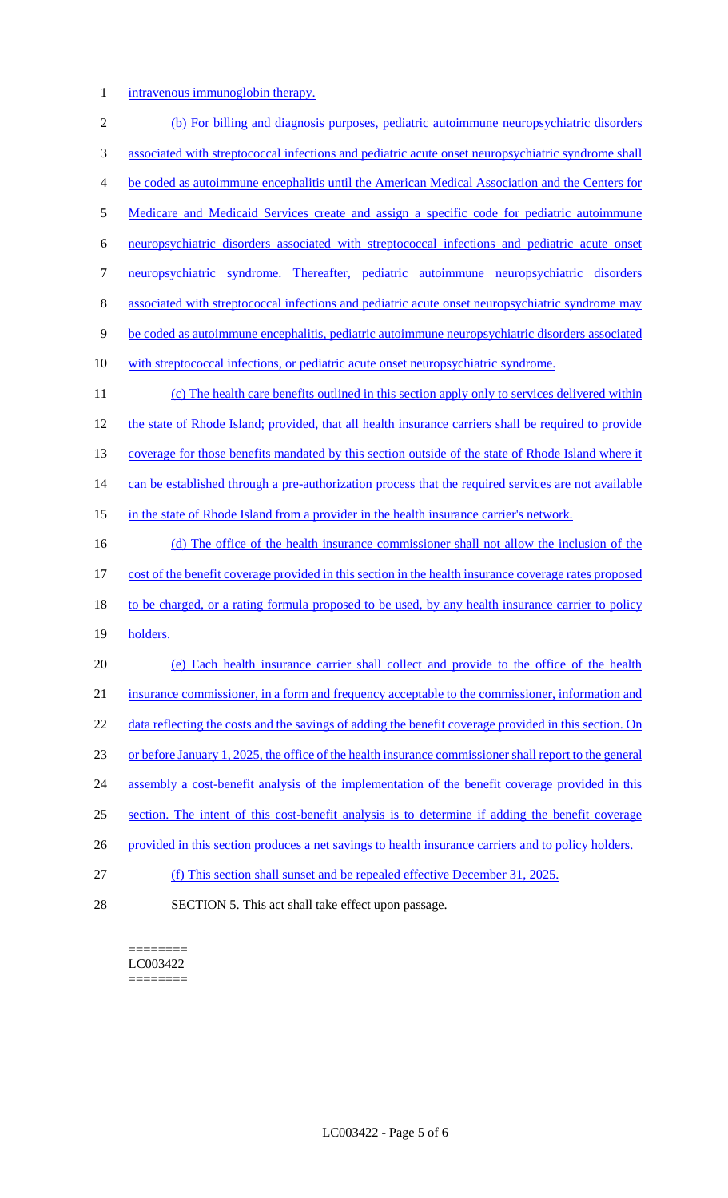1 intravenous immunoglobin therapy.

 (b) For billing and diagnosis purposes, pediatric autoimmune neuropsychiatric disorders associated with streptococcal infections and pediatric acute onset neuropsychiatric syndrome shall be coded as autoimmune encephalitis until the American Medical Association and the Centers for Medicare and Medicaid Services create and assign a specific code for pediatric autoimmune neuropsychiatric disorders associated with streptococcal infections and pediatric acute onset neuropsychiatric syndrome. Thereafter, pediatric autoimmune neuropsychiatric disorders associated with streptococcal infections and pediatric acute onset neuropsychiatric syndrome may be coded as autoimmune encephalitis, pediatric autoimmune neuropsychiatric disorders associated with streptococcal infections, or pediatric acute onset neuropsychiatric syndrome. (c) The health care benefits outlined in this section apply only to services delivered within 12 the state of Rhode Island; provided, that all health insurance carriers shall be required to provide 13 coverage for those benefits mandated by this section outside of the state of Rhode Island where it 14 can be established through a pre-authorization process that the required services are not available 15 in the state of Rhode Island from a provider in the health insurance carrier's network. 16 (d) The office of the health insurance commissioner shall not allow the inclusion of the cost of the benefit coverage provided in this section in the health insurance coverage rates proposed 18 to be charged, or a rating formula proposed to be used, by any health insurance carrier to policy 19 holders. (e) Each health insurance carrier shall collect and provide to the office of the health insurance commissioner, in a form and frequency acceptable to the commissioner, information and 22 data reflecting the costs and the savings of adding the benefit coverage provided in this section. On or before January 1, 2025, the office of the health insurance commissioner shall report to the general 24 assembly a cost-benefit analysis of the implementation of the benefit coverage provided in this section. The intent of this cost-benefit analysis is to determine if adding the benefit coverage 26 provided in this section produces a net savings to health insurance carriers and to policy holders. (f) This section shall sunset and be repealed effective December 31, 2025. SECTION 5. This act shall take effect upon passage.

======== LC003422 ========